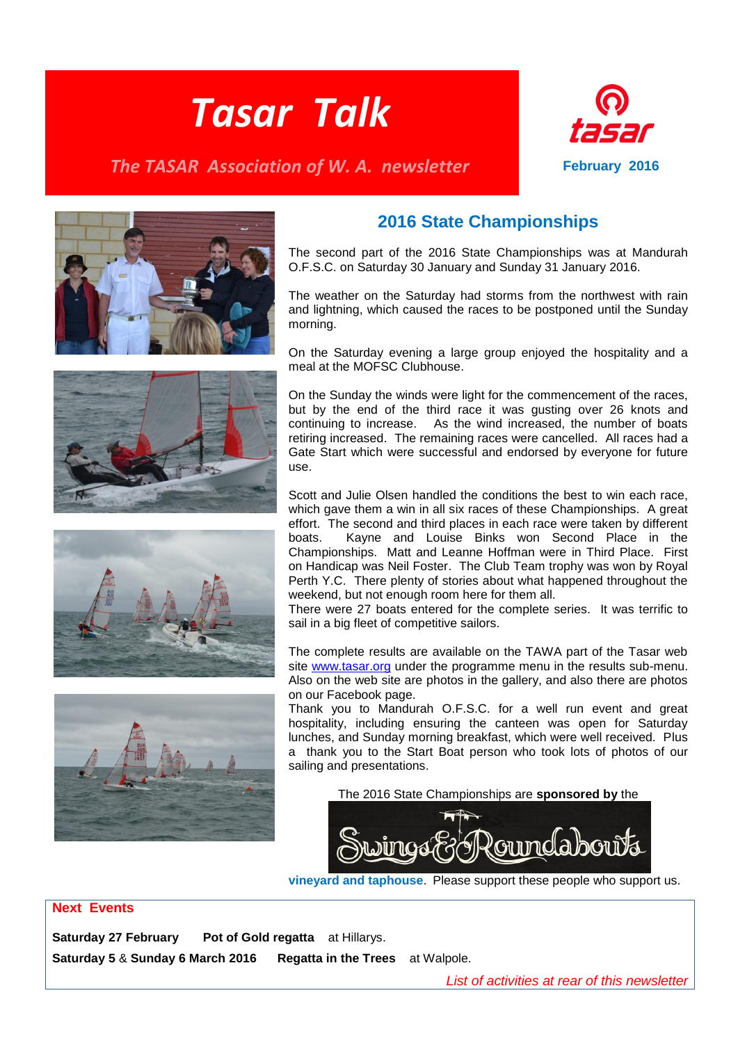*Tasar Talk*













#### **2016 State Championships**

The second part of the 2016 State Championships was at Mandurah O.F.S.C. on Saturday 30 January and Sunday 31 January 2016.

The weather on the Saturday had storms from the northwest with rain and lightning, which caused the races to be postponed until the Sunday morning.

On the Saturday evening a large group enjoyed the hospitality and a meal at the MOFSC Clubhouse.

On the Sunday the winds were light for the commencement of the races, but by the end of the third race it was gusting over 26 knots and continuing to increase. As the wind increased, the number of boats retiring increased. The remaining races were cancelled. All races had a Gate Start which were successful and endorsed by everyone for future use.

Scott and Julie Olsen handled the conditions the best to win each race, which gave them a win in all six races of these Championships. A great effort. The second and third places in each race were taken by different boats. Kayne and Louise Binks won Second Place in the Championships. Matt and Leanne Hoffman were in Third Place. First on Handicap was Neil Foster. The Club Team trophy was won by Royal Perth Y.C. There plenty of stories about what happened throughout the weekend, but not enough room here for them all.

There were 27 boats entered for the complete series. It was terrific to sail in a big fleet of competitive sailors.

The complete results are available on the TAWA part of the Tasar web site [www.tasar.org](http://www.tasar.org/) under the programme menu in the results sub-menu. Also on the web site are photos in the gallery, and also there are photos on our Facebook page.

Thank you to Mandurah O.F.S.C. for a well run event and great hospitality, including ensuring the canteen was open for Saturday lunches, and Sunday morning breakfast, which were well received. Plus a thank you to the Start Boat person who took lots of photos of our sailing and presentations.

The 2016 State Championships are **sponsored by** the



**vineyard and taphouse**. Please support these people who support us.

#### **Next Events**

**Saturday 27 February Pot of Gold regatta** at Hillarys. **Saturday 5** & **Sunday 6 March 2016 Regatta in the Trees** at Walpole.

*List of activities at rear of this newsletter*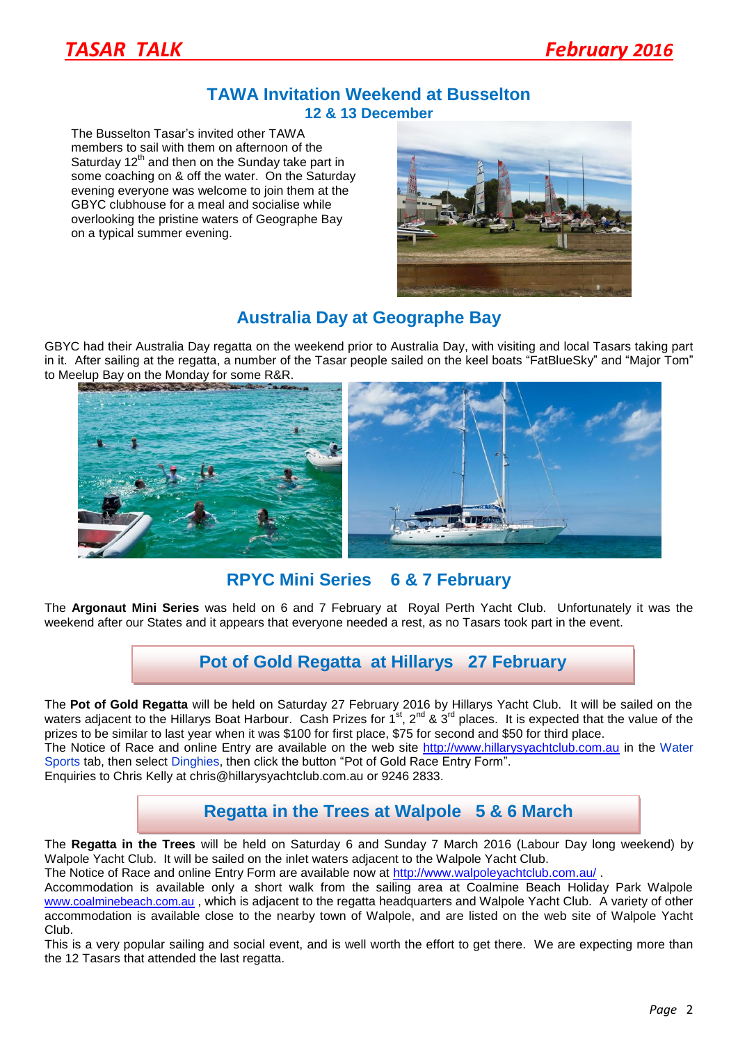

### **TAWA Invitation Weekend at Busselton 12 & 13 December**

The Busselton Tasar's invited other TAWA members to sail with them on afternoon of the Saturday 12<sup>th</sup> and then on the Sunday take part in some coaching on & off the water. On the Saturday evening everyone was welcome to join them at the GBYC clubhouse for a meal and socialise while overlooking the pristine waters of Geographe Bay on a typical summer evening.



# **Australia Day at Geographe Bay**

GBYC had their Australia Day regatta on the weekend prior to Australia Day, with visiting and local Tasars taking part in it. After sailing at the regatta, a number of the Tasar people sailed on the keel boats "FatBlueSky" and "Major Tom" to Meelup Bay on the Monday for some R&R.



## **RPYC Mini Series 6 & 7 February**

The **Argonaut Mini Series** was held on 6 and 7 February at Royal Perth Yacht Club. Unfortunately it was the weekend after our States and it appears that everyone needed a rest, as no Tasars took part in the event.



The **Pot of Gold Regatta** will be held on Saturday 27 February 2016 by Hillarys Yacht Club. It will be sailed on the waters adjacent to the Hillarys Boat Harbour. Cash Prizes for 1<sup>st</sup>, 2<sup>nd</sup> & 3<sup>rd</sup> places. It is expected that the value of the prizes to be similar to last year when it was \$100 for first place, \$75 for second and \$50 for third place.

The Notice of Race and online Entry are available on the web site [http://www.hillarysyachtclub.com.au](http://www.hillarysyachtclub.com.au/) in the Water Sports tab, then select Dinghies, then click the button "Pot of Gold Race Entry Form".

Enquiries to Chris Kelly at chris@hillarysyachtclub.com.au or 9246 2833.

## **Regatta in the Trees at Walpole 5 & 6 March**

The **Regatta in the Trees** will be held on Saturday 6 and Sunday 7 March 2016 (Labour Day long weekend) by Walpole Yacht Club. It will be sailed on the inlet waters adjacent to the Walpole Yacht Club.

The Notice of Race and online Entry Form are available now at<http://www.walpoleyachtclub.com.au/>

Accommodation is available only a short walk from the sailing area at Coalmine Beach Holiday Park Walpole [www.coalminebeach.com.au](http://www.coalminebeach.com.au/) , which is adjacent to the regatta headquarters and Walpole Yacht Club. A variety of other accommodation is available close to the nearby town of Walpole, and are listed on the web site of Walpole Yacht Club.

This is a very popular sailing and social event, and is well worth the effort to get there. We are expecting more than the 12 Tasars that attended the last regatta.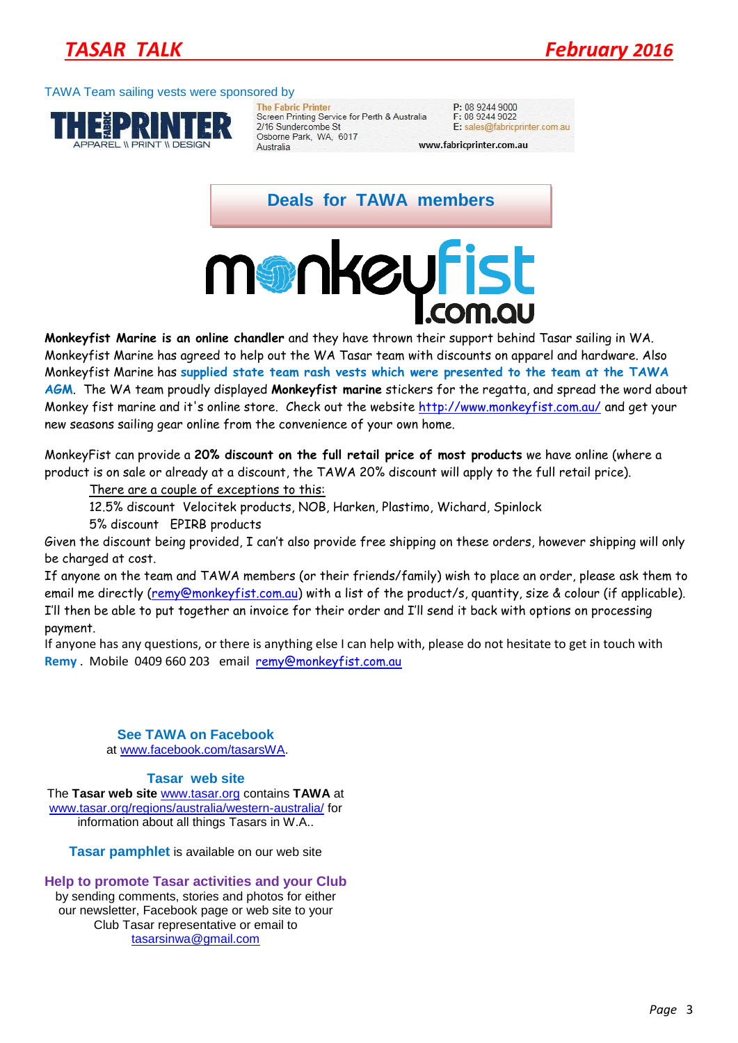



TAWA Team sailing vests were sponsored by



**The Fabric Printer** Screen Printing Service for Perth & Australia 2/16 Sundercombe St Osborne Park, WA, 6017 Australia

| P: 08 9244 9000                  |  |
|----------------------------------|--|
| F: 0892449022                    |  |
| $E$ : sales@fabricprinter.com au |  |

www.fabricprinter.com.au

**Deals for TAWA members**

monkeu

**Monkeyfist Marine is an online chandler** and they have thrown their support behind Tasar sailing in WA. Monkeyfist Marine has agreed to help out the WA Tasar team with discounts on apparel and hardware. Also Monkeyfist Marine has **supplied state team rash vests which were presented to the team at the TAWA AGM**. The WA team proudly displayed **Monkeyfist marine** stickers for the regatta, and spread the word about Monkey fist marine and it's online store. Check out the website<http://www.monkeyfist.com.au/> and get your new seasons sailing gear online from the convenience of your own home.

MonkeyFist can provide a **20% discount on the full retail price of most products** we have online (where a product is on sale or already at a discount, the TAWA 20% discount will apply to the full retail price).

There are a couple of exceptions to this:

12.5% discount Velocitek products, NOB, Harken, Plastimo, Wichard, Spinlock

5% discount EPIRB products

Given the discount being provided, I can't also provide free shipping on these orders, however shipping will only be charged at cost.

If anyone on the team and TAWA members (or their friends/family) wish to place an order, please ask them to email me directly [\(remy@monkeyfist.com.au\)](mailto:remy@monkeyfist.com.au) with a list of the product/s, quantity, size & colour (if applicable). I'll then be able to put together an invoice for their order and I'll send it back with options on processing payment.

If anyone has any questions, or there is anything else I can help with, please do not hesitate to get in touch with **Remy** . Mobile 0409 660 203 email [remy@monkeyfist.com.au](mailto:remy@monkeyfist.com.au)

**See TAWA on Facebook**  at [www.facebook.com/tasarsWA.](http://www.facebook.com/tasarsWA)

#### **Tasar web site**

The **Tasar web site** [www.tasar.org](http://www.tasar.org/) contains **TAWA** at [www.tasar.org/regions/australia/western-australia/](http://www.tasar.org/regions/australia/western-australia/) for information about all things Tasars in W.A..

**Tasar pamphlet** is available on our web site

**Help to promote Tasar activities and your Club**

by sending comments, stories and photos for either our newsletter, Facebook page or web site to your Club Tasar representative or email to [tasarsinwa@gmail.com](mailto:tasarsinwa@gmail.com)